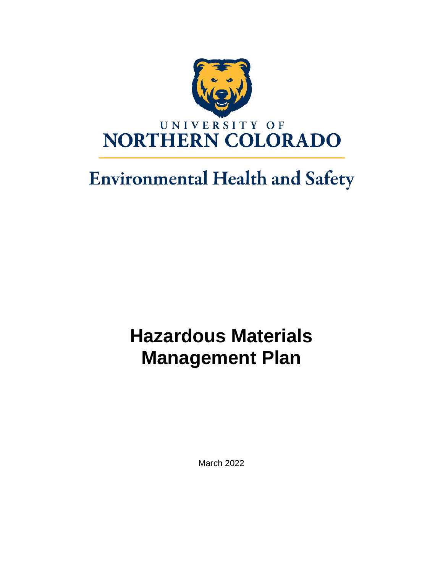

# **Environmental Health and Safety**

# **Hazardous Materials Management Plan**

March 2022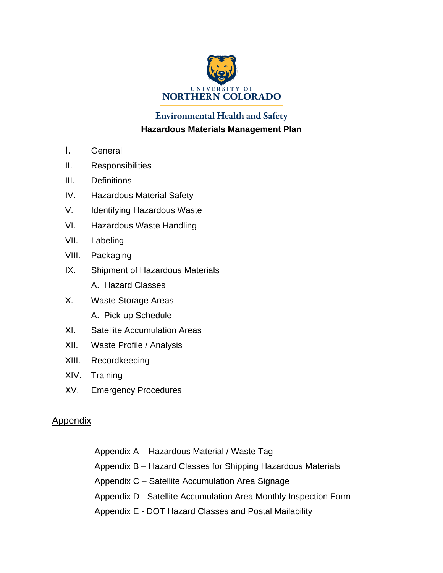

# **Environmental Health and Safety Hazardous Materials Management Plan**

- I. General
- II. Responsibilities
- III. Definitions
- IV. Hazardous Material Safety
- V. Identifying Hazardous Waste
- VI. Hazardous Waste Handling
- VII. Labeling
- VIII. Packaging
- IX. Shipment of Hazardous Materials
	- A. Hazard Classes
- X. Waste Storage Areas A. Pick-up Schedule
- XI. Satellite Accumulation Areas
- XII. Waste Profile / Analysis
- XIII. Recordkeeping
- XIV. Training
- XV. Emergency Procedures

#### **Appendix**

Appendix A – Hazardous Material / Waste Tag Appendix B – Hazard Classes for Shipping Hazardous Materials Appendix C – Satellite Accumulation Area Signage Appendix D - Satellite Accumulation Area Monthly Inspection Form Appendix E - DOT Hazard Classes and Postal Mailability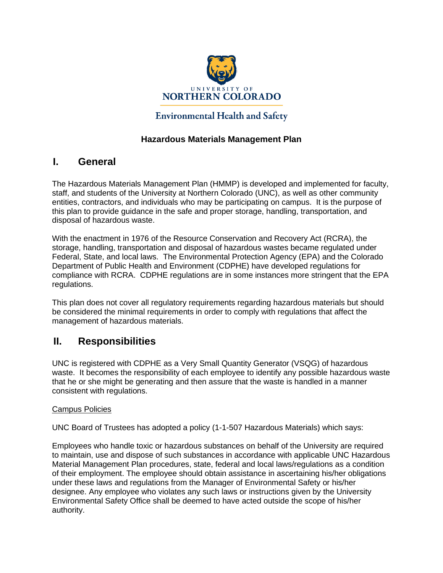

#### **Environmental Health and Safety**

#### **Hazardous Materials Management Plan**

#### **I. General**

The Hazardous Materials Management Plan (HMMP) is developed and implemented for faculty, staff, and students of the University at Northern Colorado (UNC), as well as other community entities, contractors, and individuals who may be participating on campus. It is the purpose of this plan to provide guidance in the safe and proper storage, handling, transportation, and disposal of hazardous waste.

With the enactment in 1976 of the Resource Conservation and Recovery Act (RCRA), the storage, handling, transportation and disposal of hazardous wastes became regulated under Federal, State, and local laws. The Environmental Protection Agency (EPA) and the Colorado Department of Public Health and Environment (CDPHE) have developed regulations for compliance with RCRA. CDPHE regulations are in some instances more stringent that the EPA regulations.

This plan does not cover all regulatory requirements regarding hazardous materials but should be considered the minimal requirements in order to comply with regulations that affect the management of hazardous materials.

### **II. Responsibilities**

UNC is registered with CDPHE as a Very Small Quantity Generator (VSQG) of hazardous waste. It becomes the responsibility of each employee to identify any possible hazardous waste that he or she might be generating and then assure that the waste is handled in a manner consistent with regulations.

#### Campus Policies

UNC Board of Trustees has adopted a policy (1-1-507 Hazardous Materials) which says:

Employees who handle toxic or hazardous substances on behalf of the University are required to maintain, use and dispose of such substances in accordance with applicable UNC Hazardous Material Management Plan procedures, state, federal and local laws/regulations as a condition of their employment. The employee should obtain assistance in ascertaining his/her obligations under these laws and regulations from the Manager of Environmental Safety or his/her designee. Any employee who violates any such laws or instructions given by the University Environmental Safety Office shall be deemed to have acted outside the scope of his/her authority.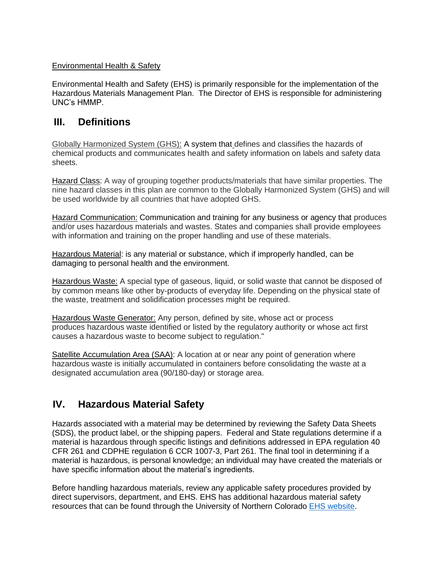#### Environmental Health & Safety

Environmental Health and Safety (EHS) is primarily responsible for the implementation of the Hazardous Materials Management Plan. The Director of EHS is responsible for administering UNC's HMMP.

# **III. Definitions**

Globally Harmonized System (GHS): A system that defines and classifies the hazards of chemical products and communicates health and safety information on labels and safety data sheets.

Hazard Class: A way of grouping together products/materials that have similar properties. The nine hazard classes in this plan are common to the Globally Harmonized System (GHS) and will be used worldwide by all countries that have adopted GHS.

Hazard Communication: Communication and training for any business or agency that produces and/or uses hazardous materials and wastes. States and companies shall provide employees with information and training on the proper handling and use of these materials.

Hazardous Material: is any material or substance, which if improperly handled, can be damaging to personal health and the environment.

Hazardous Waste: A special type of gaseous, liquid, or solid waste that cannot be disposed of by common means like other by-products of everyday life. Depending on the physical state of the waste, treatment and solidification processes might be required.

Hazardous Waste Generator: Any person, defined by site, whose act or process produces hazardous waste identified or listed by the regulatory authority or whose act first causes a hazardous waste to become subject to regulation."

Satellite Accumulation Area (SAA): A location at or near any point of generation where hazardous waste is initially accumulated in containers before consolidating the waste at a designated accumulation area (90/180-day) or storage area.

# **IV. Hazardous Material Safety**

Hazards associated with a material may be determined by reviewing the Safety Data Sheets (SDS), the product label, or the shipping papers. Federal and State regulations determine if a material is hazardous through specific listings and definitions addressed in EPA regulation 40 CFR 261 and CDPHE regulation 6 CCR 1007-3, Part 261. The final tool in determining if a material is hazardous, is personal knowledge; an individual may have created the materials or have specific information about the material's ingredients.

Before handling hazardous materials, review any applicable safety procedures provided by direct supervisors, department, and EHS. EHS has additional hazardous material safety resources that can be found through the University of Northern Colorado [EHS website.](https://www.unco.edu/facilities/services/environmental-health-and-safety/)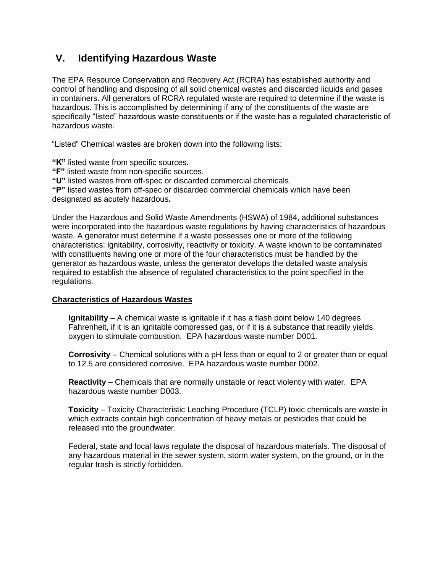# **V. Identifying Hazardous Waste**

The EPA Resource Conservation and Recovery Act (RCRA) has established authority and control of handling and disposing of all solid chemical wastes and discarded liquids and gases in containers. All generators of RCRA regulated waste are required to determine if the waste is hazardous. This is accomplished by determining if any of the constituents of the waste are specifically "listed" hazardous waste constituents or if the waste has a regulated characteristic of hazardous waste.

"Listed" Chemical wastes are broken down into the following lists:

**"K"** listed waste from specific sources.

**"F"** listed waste from non-specific sources.

**"U"** listed wastes from off-spec or discarded commercial chemicals.

**"P"** listed wastes from off-spec or discarded commercial chemicals which have been designated as acutely hazardous**.**

Under the Hazardous and Solid Waste Amendments (HSWA) of 1984, additional substances were incorporated into the hazardous waste regulations by having characteristics of hazardous waste. A generator must determine if a waste possesses one or more of the following characteristics: ignitability, corrosivity, reactivity or toxicity. A waste known to be contaminated with constituents having one or more of the four characteristics must be handled by the generator as hazardous waste, unless the generator develops the detailed waste analysis required to establish the absence of regulated characteristics to the point specified in the regulations.

#### **Characteristics of Hazardous Wastes**

**Ignitability** – A chemical waste is ignitable if it has a flash point below 140 degrees Fahrenheit, if it is an ignitable compressed gas, or if it is a substance that readily yields oxygen to stimulate combustion. EPA hazardous waste number D001.

**Corrosivity** – Chemical solutions with a pH less than or equal to 2 or greater than or equal to 12.5 are considered corrosive. EPA hazardous waste number D002.

**Reactivity** – Chemicals that are normally unstable or react violently with water. EPA hazardous waste number D003.

**Toxicity** – Toxicity Characteristic Leaching Procedure (TCLP) toxic chemicals are waste in which extracts contain high concentration of heavy metals or pesticides that could be released into the groundwater.

Federal, state and local laws regulate the disposal of hazardous materials. The disposal of any hazardous material in the sewer system, storm water system, on the ground, or in the regular trash is strictly forbidden.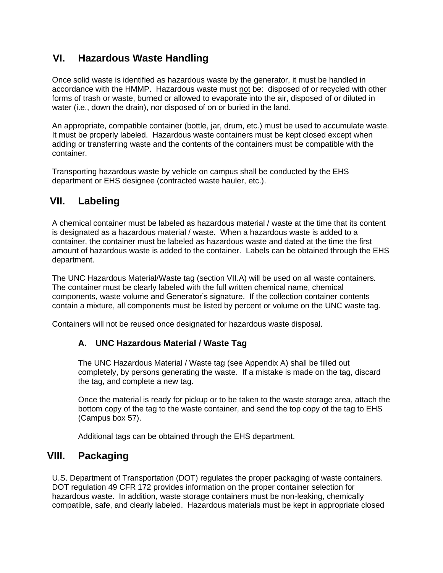# **VI. Hazardous Waste Handling**

Once solid waste is identified as hazardous waste by the generator, it must be handled in accordance with the HMMP. Hazardous waste must not be: disposed of or recycled with other forms of trash or waste, burned or allowed to evaporate into the air, disposed of or diluted in water (i.e., down the drain), nor disposed of on or buried in the land.

An appropriate, compatible container (bottle, jar, drum, etc.) must be used to accumulate waste. It must be properly labeled. Hazardous waste containers must be kept closed except when adding or transferring waste and the contents of the containers must be compatible with the container.

Transporting hazardous waste by vehicle on campus shall be conducted by the EHS department or EHS designee (contracted waste hauler, etc.).

# **VII. Labeling**

A chemical container must be labeled as hazardous material / waste at the time that its content is designated as a hazardous material / waste. When a hazardous waste is added to a container, the container must be labeled as hazardous waste and dated at the time the first amount of hazardous waste is added to the container. Labels can be obtained through the EHS department.

The UNC Hazardous Material/Waste tag (section VII.A) will be used on all waste containers. The container must be clearly labeled with the full written chemical name, chemical components, waste volume and Generator's signature. If the collection container contents contain a mixture, all components must be listed by percent or volume on the UNC waste tag.

Containers will not be reused once designated for hazardous waste disposal.

#### **A. UNC Hazardous Material / Waste Tag**

The UNC Hazardous Material / Waste tag (see Appendix A) shall be filled out completely, by persons generating the waste. If a mistake is made on the tag, discard the tag, and complete a new tag.

Once the material is ready for pickup or to be taken to the waste storage area, attach the bottom copy of the tag to the waste container, and send the top copy of the tag to EHS (Campus box 57).

Additional tags can be obtained through the EHS department.

### **VIII. Packaging**

U.S. Department of Transportation (DOT) regulates the proper packaging of waste containers. DOT regulation 49 CFR 172 provides information on the proper container selection for hazardous waste. In addition, waste storage containers must be non-leaking, chemically compatible, safe, and clearly labeled. Hazardous materials must be kept in appropriate closed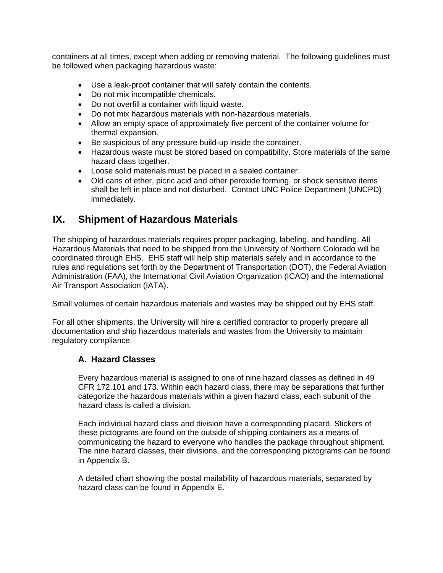containers at all times, except when adding or removing material. The following guidelines must be followed when packaging hazardous waste:

- Use a leak-proof container that will safely contain the contents.
- Do not mix incompatible chemicals.
- Do not overfill a container with liquid waste.
- Do not mix hazardous materials with non-hazardous materials.
- Allow an empty space of approximately five percent of the container volume for thermal expansion.
- Be suspicious of any pressure build-up inside the container.
- Hazardous waste must be stored based on compatibility. Store materials of the same hazard class together.
- Loose solid materials must be placed in a sealed container.
- Old cans of ether, picric acid and other peroxide forming, or shock sensitive items shall be left in place and not disturbed. Contact UNC Police Department (UNCPD) immediately.

# **IX. Shipment of Hazardous Materials**

The shipping of hazardous materials requires proper packaging, labeling, and handling. All Hazardous Materials that need to be shipped from the University of Northern Colorado will be coordinated through EHS. EHS staff will help ship materials safely and in accordance to the rules and regulations set forth by the Department of Transportation (DOT), the Federal Aviation Administration (FAA), the International Civil Aviation Organization (ICAO) and the International Air Transport Association (IATA).

Small volumes of certain hazardous materials and wastes may be shipped out by EHS staff.

For all other shipments, the University will hire a certified contractor to properly prepare all documentation and ship hazardous materials and wastes from the University to maintain regulatory compliance.

#### **A. Hazard Classes**

Every hazardous material is assigned to one of nine hazard classes as defined in 49 CFR 172.101 and 173. Within each hazard class, there may be separations that further categorize the hazardous materials within a given hazard class, each subunit of the hazard class is called a division.

Each individual hazard class and division have a corresponding placard. Stickers of these pictograms are found on the outside of shipping containers as a means of communicating the hazard to everyone who handles the package throughout shipment. The nine hazard classes, their divisions, and the corresponding pictograms can be found in Appendix B.

A detailed chart showing the postal mailability of hazardous materials, separated by hazard class can be found in Appendix E.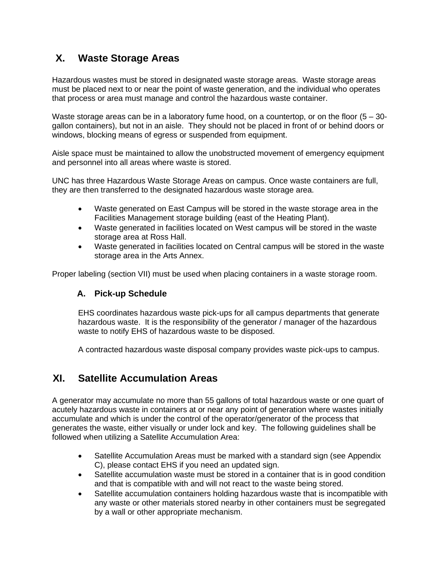# **X. Waste Storage Areas**

Hazardous wastes must be stored in designated waste storage areas. Waste storage areas must be placed next to or near the point of waste generation, and the individual who operates that process or area must manage and control the hazardous waste container.

Waste storage areas can be in a laboratory fume hood, on a countertop, or on the floor  $(5 - 30 - 1)$ gallon containers), but not in an aisle. They should not be placed in front of or behind doors or windows, blocking means of egress or suspended from equipment.

Aisle space must be maintained to allow the unobstructed movement of emergency equipment and personnel into all areas where waste is stored.

UNC has three Hazardous Waste Storage Areas on campus. Once waste containers are full, they are then transferred to the designated hazardous waste storage area.

- Waste generated on East Campus will be stored in the waste storage area in the Facilities Management storage building (east of the Heating Plant).
- Waste generated in facilities located on West campus will be stored in the waste storage area at Ross Hall.
- Waste generated in facilities located on Central campus will be stored in the waste storage area in the Arts Annex.

Proper labeling (section VII) must be used when placing containers in a waste storage room.

#### **A. Pick-up Schedule**

EHS coordinates hazardous waste pick-ups for all campus departments that generate hazardous waste. It is the responsibility of the generator / manager of the hazardous waste to notify EHS of hazardous waste to be disposed.

A contracted hazardous waste disposal company provides waste pick-ups to campus.

### **XI. Satellite Accumulation Areas**

A generator may accumulate no more than 55 gallons of total hazardous waste or one quart of acutely hazardous waste in containers at or near any point of generation where wastes initially accumulate and which is under the control of the operator/generator of the process that generates the waste, either visually or under lock and key. The following guidelines shall be followed when utilizing a Satellite Accumulation Area:

- Satellite Accumulation Areas must be marked with a standard sign (see Appendix C), please contact EHS if you need an updated sign.
- Satellite accumulation waste must be stored in a container that is in good condition and that is compatible with and will not react to the waste being stored.
- Satellite accumulation containers holding hazardous waste that is incompatible with any waste or other materials stored nearby in other containers must be segregated by a wall or other appropriate mechanism.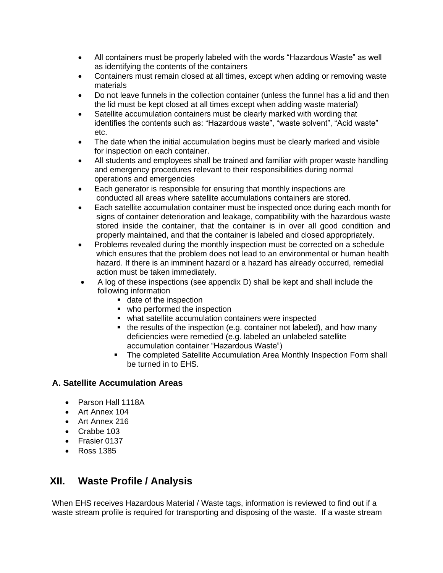- All containers must be properly labeled with the words "Hazardous Waste" as well as identifying the contents of the containers
- Containers must remain closed at all times, except when adding or removing waste materials
- Do not leave funnels in the collection container (unless the funnel has a lid and then the lid must be kept closed at all times except when adding waste material)
- Satellite accumulation containers must be clearly marked with wording that identifies the contents such as: "Hazardous waste", "waste solvent", "Acid waste" etc.
- The date when the initial accumulation begins must be clearly marked and visible for inspection on each container.
- All students and employees shall be trained and familiar with proper waste handling and emergency procedures relevant to their responsibilities during normal operations and emergencies
- Each generator is responsible for ensuring that monthly inspections are conducted all areas where satellite accumulations containers are stored.
- Each satellite accumulation container must be inspected once during each month for signs of container deterioration and leakage, compatibility with the hazardous waste stored inside the container, that the container is in over all good condition and properly maintained, and that the container is labeled and closed appropriately.
- Problems revealed during the monthly inspection must be corrected on a schedule which ensures that the problem does not lead to an environmental or human health hazard. If there is an imminent hazard or a hazard has already occurred, remedial action must be taken immediately.
- A log of these inspections (see appendix D) shall be kept and shall include the following information
	- date of the inspection
	- who performed the inspection
	- what satellite accumulation containers were inspected
	- the results of the inspection (e.g. container not labeled), and how many deficiencies were remedied (e.g. labeled an unlabeled satellite accumulation container "Hazardous Waste")
	- **The completed Satellite Accumulation Area Monthly Inspection Form shall** be turned in to EHS.

#### **A. Satellite Accumulation Areas**

- Parson Hall 1118A
- Art Annex 104
- Art Annex 216
- Crabbe 103
- Frasier 0137
- Ross 1385

# **XII. Waste Profile / Analysis**

When EHS receives Hazardous Material / Waste tags, information is reviewed to find out if a waste stream profile is required for transporting and disposing of the waste. If a waste stream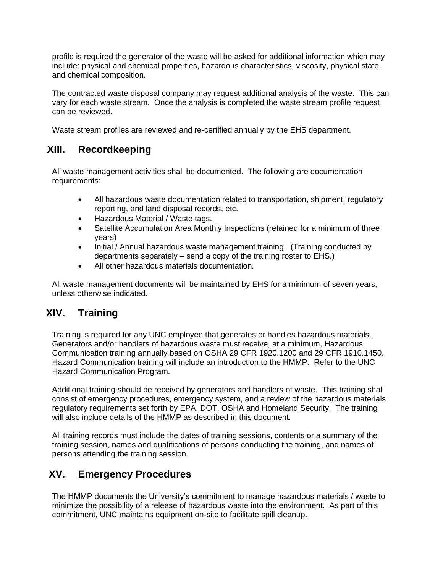profile is required the generator of the waste will be asked for additional information which may include: physical and chemical properties, hazardous characteristics, viscosity, physical state, and chemical composition.

The contracted waste disposal company may request additional analysis of the waste. This can vary for each waste stream. Once the analysis is completed the waste stream profile request can be reviewed.

Waste stream profiles are reviewed and re-certified annually by the EHS department.

# **XIII. Recordkeeping**

All waste management activities shall be documented. The following are documentation requirements:

- All hazardous waste documentation related to transportation, shipment, regulatory reporting, and land disposal records, etc.
- Hazardous Material / Waste tags.
- Satellite Accumulation Area Monthly Inspections (retained for a minimum of three years)
- Initial / Annual hazardous waste management training. (Training conducted by departments separately – send a copy of the training roster to EHS.)
- All other hazardous materials documentation.

All waste management documents will be maintained by EHS for a minimum of seven years, unless otherwise indicated.

# **XIV. Training**

Training is required for any UNC employee that generates or handles hazardous materials. Generators and/or handlers of hazardous waste must receive, at a minimum, Hazardous Communication training annually based on OSHA 29 CFR 1920.1200 and 29 CFR 1910.1450. Hazard Communication training will include an introduction to the HMMP. Refer to the UNC Hazard Communication Program.

Additional training should be received by generators and handlers of waste. This training shall consist of emergency procedures, emergency system, and a review of the hazardous materials regulatory requirements set forth by EPA, DOT, OSHA and Homeland Security. The training will also include details of the HMMP as described in this document.

All training records must include the dates of training sessions, contents or a summary of the training session, names and qualifications of persons conducting the training, and names of persons attending the training session.

# **XV. Emergency Procedures**

The HMMP documents the University's commitment to manage hazardous materials / waste to minimize the possibility of a release of hazardous waste into the environment. As part of this commitment, UNC maintains equipment on-site to facilitate spill cleanup.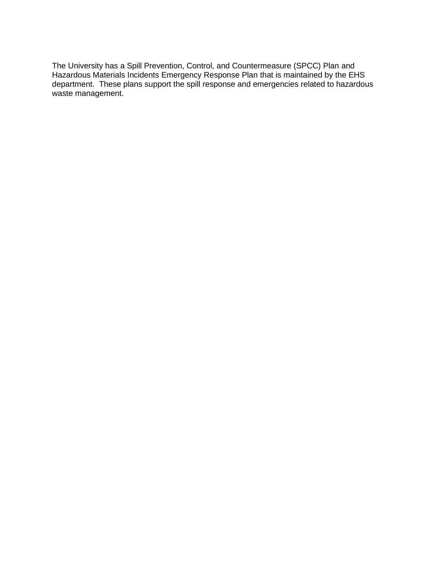The University has a Spill Prevention, Control, and Countermeasure (SPCC) Plan and Hazardous Materials Incidents Emergency Response Plan that is maintained by the EHS department. These plans support the spill response and emergencies related to hazardous waste management.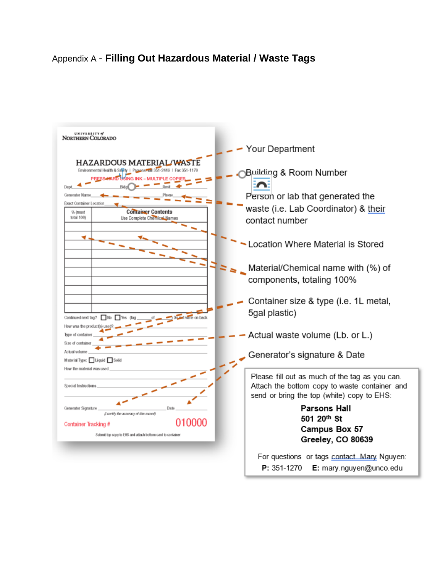# Appendix A - **Filling Out Hazardous Material / Waste Tags**

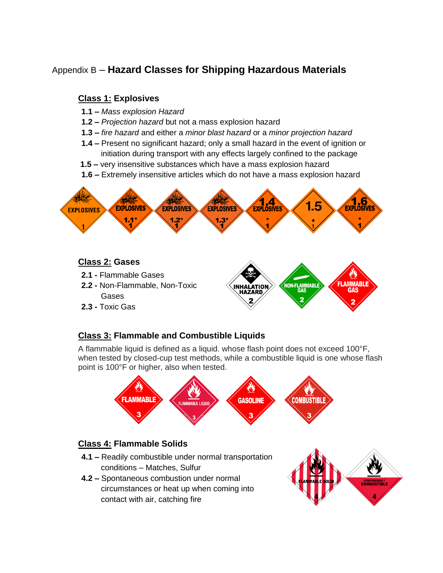# Appendix B – **Hazard Classes for Shipping Hazardous Materials**

# **Class 1: Explosives**

- **1.1 –** *Mass explosion Hazard*
- **1.2 –** *Projection hazard* but not a mass explosion hazard
- **1.3 –** *fire hazard* and either a *minor blast hazard* or a *minor projection hazard*
- **1.4 –** Present no significant hazard; only a small hazard in the event of ignition or initiation during transport with any effects largely confined to the package
- **1.5 –** very insensitive substances which have a mass explosion hazard
- **1.6 –** Extremely insensitive articles which do not have a mass explosion hazard



#### **Class 2: Gases**

- **2.1 -** Flammable Gases
- **2.2 -** Non-Flammable, Non-Toxic Gases
- **2.3 -** Toxic Gas



### **Class 3: Flammable and Combustible Liquids**

A flammable liquid is defined as a liquid. whose flash point does not exceed 100°F, when tested by closed-cup test methods, while a combustible liquid is one whose flash point is 100°F or higher, also when tested.



#### **Class 4: Flammable Solids**

- **4.1 –** Readily combustible under normal transportation conditions – Matches, Sulfur
- **4.2 –** Spontaneous combustion under normal circumstances or heat up when coming into contact with air, catching fire

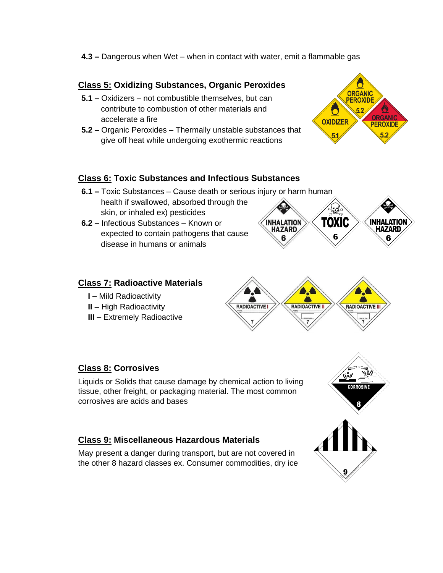**4.3 –** Dangerous when Wet – when in contact with water, emit a flammable gas

#### **Class 5: Oxidizing Substances, Organic Peroxides**

- **5.1 –** Oxidizers not combustible themselves, but can contribute to combustion of other materials and accelerate a fire
- **5.2 –** Organic Peroxides Thermally unstable substances that give off heat while undergoing exothermic reactions



#### **Class 6: Toxic Substances and Infectious Substances**

- **6.1 –** Toxic Substances Cause death or serious injury or harm human health if swallowed, absorbed through the skin, or inhaled ex) pesticides
- **6.2 –** Infectious Substances Known or expected to contain pathogens that cause disease in humans or animals

#### **Class 7: Radioactive Materials**

- **I –** Mild Radioactivity
- **II –** High Radioactivity
- **III –** Extremely Radioactive





#### **Class 8: Corrosives**

Liquids or Solids that cause damage by chemical action to living tissue, other freight, or packaging material. The most common corrosives are acids and bases

#### **Class 9: Miscellaneous Hazardous Materials**

May present a danger during transport, but are not covered in the other 8 hazard classes ex. Consumer commodities, dry ice

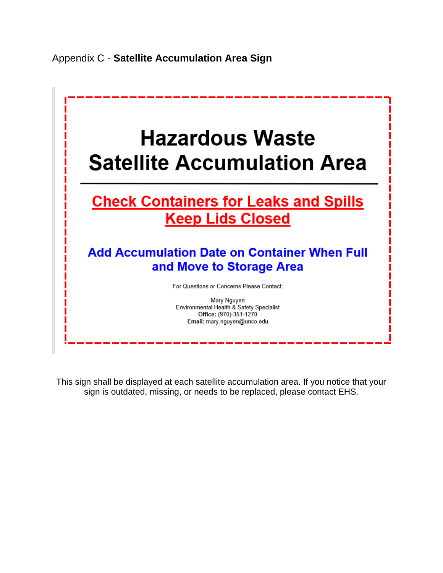

This sign shall be displayed at each satellite accumulation area. If you notice that your sign is outdated, missing, or needs to be replaced, please contact EHS.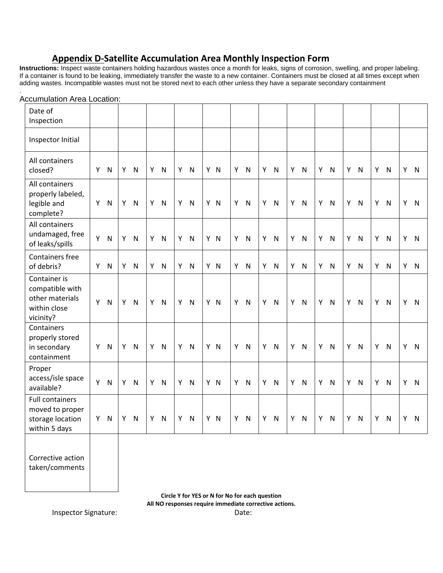# **Appendix D-Satellite Accumulation Area Monthly Inspection Form**

**Instructions:** Inspect waste containers holding hazardous wastes once a month for leaks, signs of corrosion, swelling, and proper labeling. If a container is found to be leaking, immediately transfer the waste to a new container. Containers must be closed at all times except when adding wastes. Incompatible wastes must not be stored next to each other unless they have a separate secondary containment

| Date of<br>Inspection                                                           |    |                         |    |              |    |              |    |              |     |   |                         |    |                         |    |              |    |              |    |              |   |              |   |              |
|---------------------------------------------------------------------------------|----|-------------------------|----|--------------|----|--------------|----|--------------|-----|---|-------------------------|----|-------------------------|----|--------------|----|--------------|----|--------------|---|--------------|---|--------------|
| Inspector Initial                                                               |    |                         |    |              |    |              |    |              |     |   |                         |    |                         |    |              |    |              |    |              |   |              |   |              |
| All containers<br>closed?                                                       | Y  | N                       | Y  | $\mathsf{N}$ | Y  | $\mathsf{N}$ | Y. | $\mathsf{N}$ | Y N | Y | N                       | Y  | $\overline{N}$          | Y  | N            | Y  | $\mathsf{N}$ | Y  | N            | Υ | $\mathsf{N}$ |   | Y N          |
| All containers<br>properly labeled,<br>legible and<br>complete?                 | Y  | N                       | Y  | $\mathsf{N}$ | Y  | N            | Y. | $\mathsf{N}$ | Y N | Υ | $\overline{N}$          | Y  | N                       |    | Y N          | Y  | $\mathsf{N}$ | Y. | N            | Υ | $\mathsf{N}$ |   | Y N          |
| All containers<br>undamaged, free<br>of leaks/spills                            | Υ  | $\overline{\mathsf{N}}$ | Y. | $\mathsf{N}$ | Y. | N            | Y. | $\mathsf{N}$ | Y N | Υ | $\overline{\mathsf{N}}$ | Y  | N                       |    | Y N          | Y  | $\mathsf{N}$ | Y. | N            | Y | $\mathsf{N}$ |   | Y N          |
| Containers free<br>of debris?                                                   | Y. | N                       | Y. | $\mathsf{N}$ | Y. | $\mathsf{N}$ | Y. | $\mathsf{N}$ | Y N | Y | $\mathsf{N}$            | Y. | $\overline{\mathsf{N}}$ |    | Y N          | Y. | $\mathsf{N}$ |    | Y N          | Y | $\mathsf{N}$ |   | Y N          |
| Container is<br>compatible with<br>other materials<br>within close<br>vicinity? | Y  | N                       | Y  | N            | Y  | N            | Y. | $\mathsf{N}$ | Y N | Υ | $\overline{\mathsf{N}}$ | Y  | N                       | Y. | N            | Y  | $\mathsf{N}$ | Y. | N            | Y | $\mathsf{N}$ | Y | $\mathsf{N}$ |
| Containers<br>properly stored<br>in secondary<br>containment                    | Y  | $\overline{N}$          | Y  | $\mathsf{N}$ | Y  | N            | Y. | $\mathsf{N}$ | Y N | Y | N                       | Y. | $\mathsf{N}$            |    | Y N          | Y  | $\mathsf{N}$ |    | Y N          | Υ | $\mathsf{N}$ |   | Y N          |
| Proper<br>access/isle space<br>available?                                       | Y  | N                       | Y  | $\mathsf{N}$ | Y  | $\mathsf{N}$ | Y. | $\mathsf{N}$ | Y N | Υ | $\mathsf{N}$            | Y  | $\mathsf{N}$            | Y  | $\mathsf{N}$ | Y  | $\mathsf{N}$ | Y. | N            | Y | $\mathsf{N}$ | Y | $\mathsf{N}$ |
| <b>Full containers</b><br>moved to proper<br>storage location<br>within 5 days  | Y  | N                       | Υ  | $\mathsf{N}$ | Υ  | $\mathsf{N}$ | Y  | N            | Y N | Υ | $\mathsf{N}$            | Y  | $\mathsf{N}$            | Y  | $\mathsf{N}$ | Υ  | $\mathsf{N}$ | Υ  | $\mathsf{N}$ | Υ | ${\sf N}$    | Υ | ${\sf N}$    |
| Corrective action<br>taken/comments                                             |    |                         |    |              |    |              |    |              |     |   |                         |    |                         |    |              |    |              |    |              |   |              |   |              |

#### . Accumulation Area Location:

**Circle Y for YES or N for No for each question All NO responses require immediate corrective actions.**

Inspector Signature: Date: Date: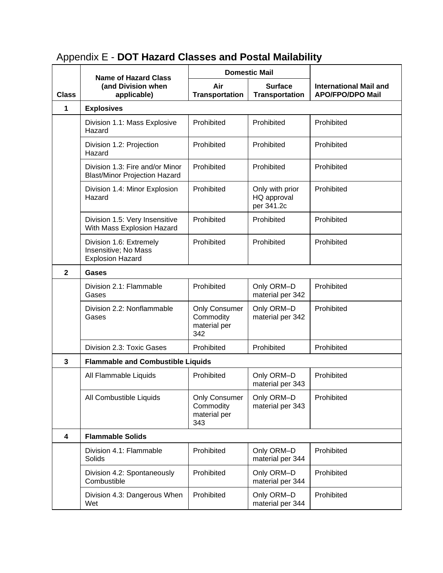#### **Class Name of Hazard Class (and Division when applicable) Domestic Mail International Mail and APO/FPO/DPO Mail Air Transportation Surface Transportation 1 Explosives** Division 1.1: Mass Explosive Hazard Prohibited Prohibited Prohibited Division 1.2: Projection Hazard Prohibited Prohibited Prohibited Division 1.3: Fire and/or Minor Blast/Minor Projection Hazard Prohibited Prohibited Prohibited Division 1.4: Minor Explosion Hazard Prohibited Only with prior HQ approval per 341.2c Prohibited Division 1.5: Very Insensitive With Mass Explosion Hazard Prohibited | Prohibited | Prohibited Division 1.6: Extremely Insensitive; No Mass Explosion Hazard Prohibited | Prohibited | Prohibited **2 Gases** Division 2.1: Flammable Gases Prohibited | Only ORM–D material per 342 Prohibited Division 2.2: Nonflammable Gases Only Consumer **Commodity** material per 342 Only ORM–D material per 342 Prohibited Division 2.3: Toxic Gases Prohibited Prohibited Prohibited **3 Flammable and Combustible Liquids** All Flammable Liquids | Prohibited | Only ORM–D material per 343 Prohibited All Combustible Liquids | Only Consumer **Commodity** material per 343 Only ORM–D material per 343 Prohibited **4 Flammable Solids** Division 4.1: Flammable Solids Prohibited | Only ORM–D material per 344 Prohibited Division 4.2: Spontaneously **Combustible** Prohibited | Only ORM–D material per 344 Prohibited Division 4.3: Dangerous When Wet Prohibited | Only ORM–D material per 344 Prohibited

# Appendix E - **DOT Hazard Classes and Postal Mailability**